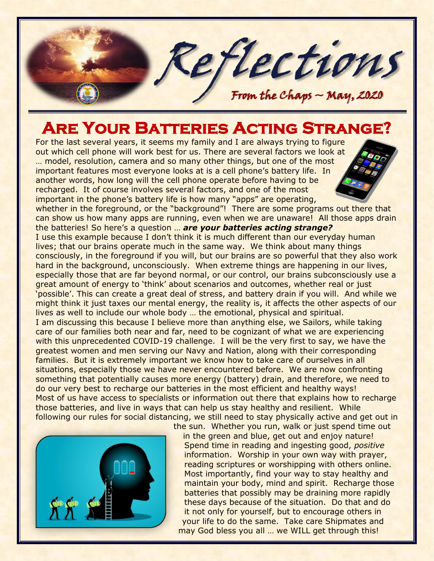

## **Are Your Batteries Acting Strange?**

For the last several years, it seems my family and I are always trying to figure out which cell phone will work best for us. There are several factors we look at … model, resolution, camera and so many other things, but one of the most important features most everyone looks at is a cell phone's battery life. In another words, how long will the cell phone operate before having to be recharged. It of course involves several factors, and one of the most important in the phone's battery life is how many "apps" are operating,

whether in the foreground, or the "background"! There are some programs out there that can show us how many apps are running, even when we are unaware! All those apps drain the batteries! So here's a question … *are your batteries acting strange?*

I use this example because I don't think it is much different than our everyday human lives; that our brains operate much in the same way. We think about many things consciously, in the foreground if you will, but our brains are so powerful that they also work hard in the background, unconsciously. When extreme things are happening in our lives, especially those that are far beyond normal, or our control, our brains subconsciously use a great amount of energy to 'think' about scenarios and outcomes, whether real or just 'possible'. This can create a great deal of stress, and battery drain if you will. And while we might think it just taxes our mental energy, the reality is, it affects the other aspects of our lives as well to include our whole body … the emotional, physical and spiritual. I am discussing this because I believe more than anything else, we Sailors, while taking care of our families both near and far, need to be cognizant of what we are experiencing with this unprecedented COVID-19 challenge. I will be the very first to say, we have the greatest women and men serving our Navy and Nation, along with their corresponding families. But it is extremely important we know how to take care of ourselves in all situations, especially those we have never encountered before. We are now confronting something that potentially causes more energy (battery) drain, and therefore, we need to do our very best to recharge our batteries in the most efficient and healthy ways! Most of us have access to specialists or information out there that explains how to recharge those batteries, and live in ways that can help us stay healthy and resilient. While following our rules for social distancing, we still need to stay physically active and get out in



the sun. Whether you run, walk or just spend time out in the green and blue, get out and enjoy nature! Spend time in reading and ingesting good, *positive* information. Worship in your own way with prayer, reading scriptures or worshipping with others online. Most importantly, find your way to stay healthy and maintain your body, mind and spirit. Recharge those batteries that possibly may be draining more rapidly these days because of the situation. Do that and do it not only for yourself, but to encourage others in your life to do the same. Take care Shipmates and may God bless you all … we WILL get through this!